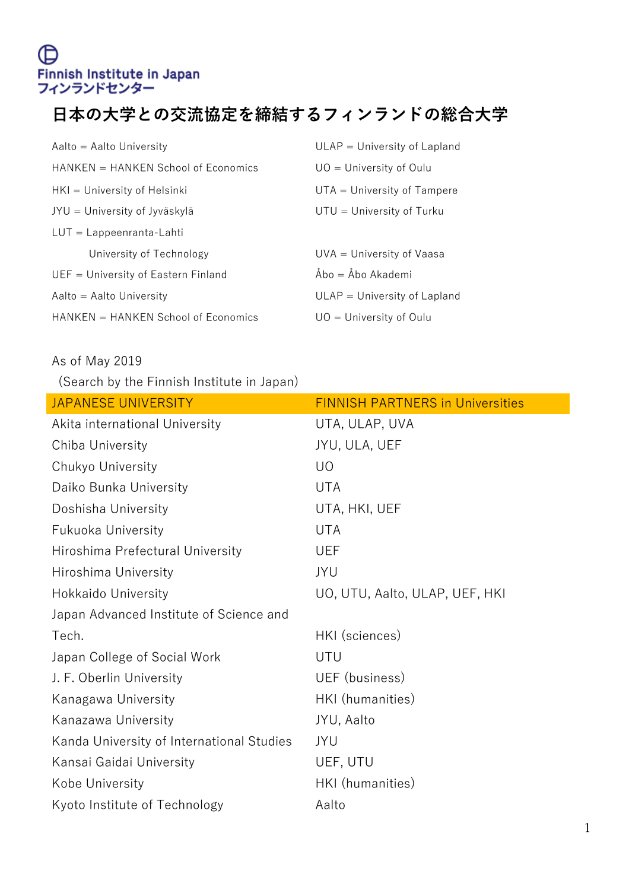## **⽇本の⼤学との交流協定を締結するフィンランドの総合⼤学**

| $Aalto = Aalto$ University            | $ULAP = University of Lapland$ |
|---------------------------------------|--------------------------------|
| $HANKEN = HANKEN School of Economics$ | $UO =$ University of Oulu      |
| $HKI =$ University of Helsinki        | $UTA =$ University of Tampere  |
| JYU = University of Jyväskylä         | $UTU =$ University of Turku    |
| $LUT = Lappearranta-Lahti$            |                                |
| University of Technology              | $UVA =$ University of Vaasa    |
| $UEF = University of Eastern Finland$ | $Åbo = Åbo Akademi$            |
| $Aalto = Aalto$ University            | $ULAP = University of Lapland$ |
| $HANKEN = HANKEN School of Economics$ | $UQ =$ University of Oulu      |

## As of May 2019

(Search by the Finnish Institute in Japan)

| JAPANESE UNIVERSITY                       | <b>FINNISH PARTNERS in Universities</b> |
|-------------------------------------------|-----------------------------------------|
| Akita international University            | UTA, ULAP, UVA                          |
| Chiba University                          | JYU, ULA, UEF                           |
| Chukyo University                         | U <sub>O</sub>                          |
| Daiko Bunka University                    | <b>UTA</b>                              |
| Doshisha University                       | UTA, HKI, UEF                           |
| <b>Fukuoka University</b>                 | <b>UTA</b>                              |
| Hiroshima Prefectural University          | <b>UEF</b>                              |
| Hiroshima University                      | JYU                                     |
| <b>Hokkaido University</b>                | UO, UTU, Aalto, ULAP, UEF, HKI          |
| Japan Advanced Institute of Science and   |                                         |
| Tech.                                     | HKI (sciences)                          |
| Japan College of Social Work              | UTU                                     |
| J. F. Oberlin University                  | UEF (business)                          |
| Kanagawa University                       | HKI (humanities)                        |
| Kanazawa University                       | JYU, Aalto                              |
| Kanda University of International Studies | JYU                                     |
| Kansai Gaidai University                  | UEF, UTU                                |
| Kobe University                           | HKI (humanities)                        |
| Kyoto Institute of Technology             | Aalto                                   |